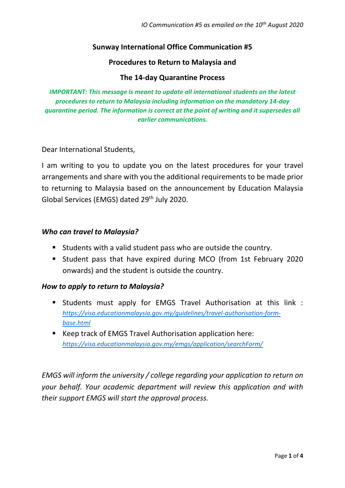## **Sunway International Office Communication #5**

### **Procedures to Return to Malaysia and**

### **The 14-day Quarantine Process**

*IMPORTANT: This message is meant to update all international students on the latest procedures to return to Malaysia including information on the mandatory 14-day quarantine period. The information is correct at the point of writing and it supersedes all earlier communications.* 

Dear International Students,

I am writing to you to update you on the latest procedures for your travel arrangements and share with you the additional requirements to be made prior to returning to Malaysia based on the announcement by Education Malaysia Global Services (EMGS) dated 29<sup>th</sup> July 2020.

#### *Who can travel to Malaysia?*

- Students with a valid student pass who are outside the country.
- Student pass that have expired during MCO (from 1st February 2020 onwards) and the student is outside the country.

### *How to apply to return to Malaysia?*

- Students must apply for EMGS Travel Authorisation at this link : *[https://visa.educationmalaysia.gov.my/guidelines/travel-authorisation-form](https://visa.educationmalaysia.gov.my/guidelines/travel-authorisation-form-base.html)[base.html](https://visa.educationmalaysia.gov.my/guidelines/travel-authorisation-form-base.html)*
- Keep track of EMGS Travel Authorisation application here: *<https://visa.educationmalaysia.gov.my/emgs/application/searchForm/>*

*EMGS will inform the university / college regarding your application to return on your behalf. Your academic department will review this application and with their support EMGS will start the approval process.*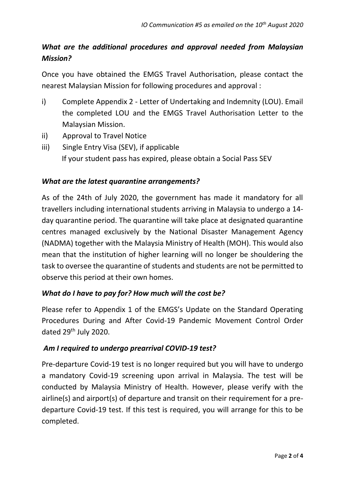# *What are the additional procedures and approval needed from Malaysian Mission?*

Once you have obtained the EMGS Travel Authorisation, please contact the nearest Malaysian Mission for following procedures and approval :

- i) Complete Appendix 2 Letter of Undertaking and Indemnity (LOU). Email the completed LOU and the EMGS Travel Authorisation Letter to the Malaysian Mission.
- ii) Approval to Travel Notice
- iii) Single Entry Visa (SEV), if applicable If your student pass has expired, please obtain a Social Pass SEV

## *What are the latest quarantine arrangements?*

As of the 24th of July 2020, the government has made it mandatory for all travellers including international students arriving in Malaysia to undergo a 14 day quarantine period. The quarantine will take place at designated quarantine centres managed exclusively by the National Disaster Management Agency (NADMA) together with the Malaysia Ministry of Health (MOH). This would also mean that the institution of higher learning will no longer be shouldering the task to oversee the quarantine of students and students are not be permitted to observe this period at their own homes.

## *What do I have to pay for? How much will the cost be?*

Please refer to Appendix 1 of the EMGS's Update on the Standard Operating Procedures During and After Covid-19 Pandemic Movement Control Order dated 29<sup>th</sup> July 2020.

## *Am I required to undergo prearrival COVID-19 test?*

Pre-departure Covid-19 test is no longer required but you will have to undergo a mandatory Covid-19 screening upon arrival in Malaysia. The test will be conducted by Malaysia Ministry of Health. However, please verify with the airline(s) and airport(s) of departure and transit on their requirement for a predeparture Covid-19 test. If this test is required, you will arrange for this to be completed.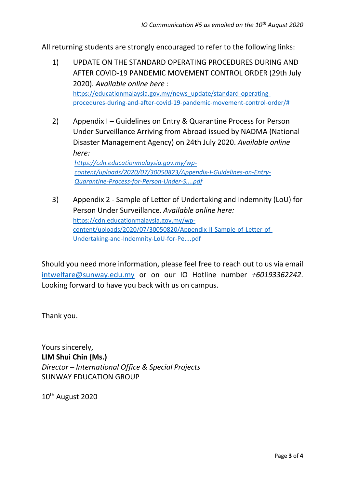All returning students are strongly encouraged to refer to the following links:

- 1) UPDATE ON THE STANDARD OPERATING PROCEDURES DURING AND AFTER COVID-19 PANDEMIC MOVEMENT CONTROL ORDER (29th July 2020). *Available online here :* [https://educationmalaysia.gov.my/news\\_update/standard-operating](https://educationmalaysia.gov.my/news_update/standard-operating-procedures-during-and-after-covid-19-pandemic-movement-control-order/)[procedures-during-and-after-covid-19-pandemic-movement-control-order/#](https://educationmalaysia.gov.my/news_update/standard-operating-procedures-during-and-after-covid-19-pandemic-movement-control-order/)
- 2) Appendix I Guidelines on Entry & Quarantine Process for Person Under Surveillance Arriving from Abroad issued by NADMA (National Disaster Management Agency) on 24th July 2020. *Available online here:*

*[https://cdn.educationmalaysia.gov.my/wp](https://cdn.educationmalaysia.gov.my/wp-content/uploads/2020/07/30050823/Appendix-I-Guidelines-on-Entry-Quarantine-Process-for-Person-Under-S....pdf)[content/uploads/2020/07/30050823/Appendix-I-Guidelines-on-Entry-](https://cdn.educationmalaysia.gov.my/wp-content/uploads/2020/07/30050823/Appendix-I-Guidelines-on-Entry-Quarantine-Process-for-Person-Under-S....pdf)[Quarantine-Process-for-Person-Under-S....pdf](https://cdn.educationmalaysia.gov.my/wp-content/uploads/2020/07/30050823/Appendix-I-Guidelines-on-Entry-Quarantine-Process-for-Person-Under-S....pdf)*

3) Appendix 2 - Sample of Letter of Undertaking and Indemnity (LoU) for Person Under Surveillance. *Available online here:* [https://cdn.educationmalaysia.gov.my/wp](https://cdn.educationmalaysia.gov.my/wp-content/uploads/2020/07/30050820/Appendix-II-Sample-of-Letter-of-Undertaking-and-Indemnity-LoU-for-Pe....pdf)[content/uploads/2020/07/30050820/Appendix-II-Sample-of-Letter-of-](https://cdn.educationmalaysia.gov.my/wp-content/uploads/2020/07/30050820/Appendix-II-Sample-of-Letter-of-Undertaking-and-Indemnity-LoU-for-Pe....pdf)[Undertaking-and-Indemnity-LoU-for-Pe....pdf](https://cdn.educationmalaysia.gov.my/wp-content/uploads/2020/07/30050820/Appendix-II-Sample-of-Letter-of-Undertaking-and-Indemnity-LoU-for-Pe....pdf)

Should you need more information, please feel free to reach out to us via email [intwelfare@sunway.edu.my](mailto:intwelfare@sunway.edu.my) or on our IO Hotline number *+60193362242*. Looking forward to have you back with us on campus.

Thank you.

Yours sincerely, **LIM Shui Chin (Ms.)** *Director – International Office & Special Projects* SUNWAY EDUCATION GROUP

10th August 2020